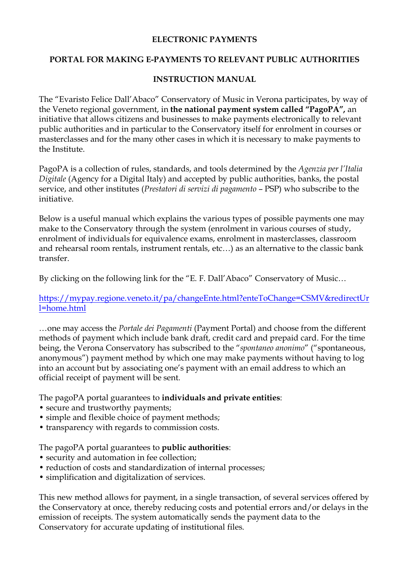#### **ELECTRONIC PAYMENTS**

### **PORTAL FOR MAKING E-PAYMENTS TO RELEVANT PUBLIC AUTHORITIES**

### **INSTRUCTION MANUAL**

The "Evaristo Felice Dall'Abaco" Conservatory of Music in Verona participates, by way of the Veneto regional government, in **the national payment system called "PagoPA",** an initiative that allows citizens and businesses to make payments electronically to relevant public authorities and in particular to the Conservatory itself for enrolment in courses or masterclasses and for the many other cases in which it is necessary to make payments to the Institute.

PagoPA is a collection of rules, standards, and tools determined by the *Agenzia per l'Italia Digitale* (Agency for a Digital Italy) and accepted by public authorities, banks, the postal service, and other institutes (*Prestatori di servizi di pagamento* – PSP) who subscribe to the initiative.

Below is a useful manual which explains the various types of possible payments one may make to the Conservatory through the system (enrolment in various courses of study, enrolment of individuals for equivalence exams, enrolment in masterclasses, classroom and rehearsal room rentals, instrument rentals, etc…) as an alternative to the classic bank transfer.

By clicking on the following link for the "E. F. Dall'Abaco" Conservatory of Music…

https://mypay.regione.veneto.it/pa/changeEnte.html?enteToChange=CSMV&redirectUr l=home.html

…one may access the *Portale dei Pagamenti* (Payment Portal) and choose from the different methods of payment which include bank draft, credit card and prepaid card. For the time being, the Verona Conservatory has subscribed to the "*spontaneo anonimo*" ("spontaneous, anonymous") payment method by which one may make payments without having to log into an account but by associating one's payment with an email address to which an official receipt of payment will be sent.

The pagoPA portal guarantees to **individuals and private entities**:

- secure and trustworthy payments;
- simple and flexible choice of payment methods;
- transparency with regards to commission costs.

The pagoPA portal guarantees to **public authorities**:

- security and automation in fee collection;
- reduction of costs and standardization of internal processes;
- simplification and digitalization of services.

This new method allows for payment, in a single transaction, of several services offered by the Conservatory at once, thereby reducing costs and potential errors and/or delays in the emission of receipts. The system automatically sends the payment data to the Conservatory for accurate updating of institutional files.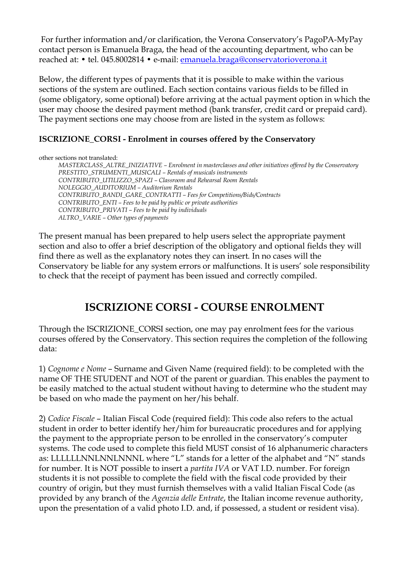For further information and/or clarification, the Verona Conservatory's PagoPA-MyPay contact person is Emanuela Braga, the head of the accounting department, who can be reached at: • tel. 045.8002814 • e-mail: emanuela.braga@conservatorioverona.it

Below, the different types of payments that it is possible to make within the various sections of the system are outlined. Each section contains various fields to be filled in (some obligatory, some optional) before arriving at the actual payment option in which the user may choose the desired payment method (bank transfer, credit card or prepaid card). The payment sections one may choose from are listed in the system as follows:

## **ISCRIZIONE\_CORSI - Enrolment in courses offered by the Conservatory**

other sections not translated:

*MASTERCLASS\_ALTRE\_INIZIATIVE – Enrolment in masterclasses and other initiatives offered by the Conservatory PRESTITO\_STRUMENTI\_MUSICALI – Rentals of musicals instruments CONTRIBUTO\_UTILIZZO\_SPAZI – Classroom and Rehearsal Room Rentals NOLEGGIO\_AUDITORIUM – Auditorium Rentals CONTRIBUTO\_BANDI\_GARE\_CONTRATTI – Fees for Competitions/Bids/Contracts CONTRIBUTO\_ENTI – Fees to be paid by public or private authorities CONTRIBUTO\_PRIVATI – Fees to be paid by individuals ALTRO\_VARIE – Other types of payments*

The present manual has been prepared to help users select the appropriate payment section and also to offer a brief description of the obligatory and optional fields they will find there as well as the explanatory notes they can insert. In no cases will the Conservatory be liable for any system errors or malfunctions. It is users' sole responsibility to check that the receipt of payment has been issued and correctly compiled.

# **ISCRIZIONE CORSI - COURSE ENROLMENT**

Through the ISCRIZIONE\_CORSI section, one may pay enrolment fees for the various courses offered by the Conservatory. This section requires the completion of the following data:

1) *Cognome e Nome* – Surname and Given Name (required field): to be completed with the name OF THE STUDENT and NOT of the parent or guardian. This enables the payment to be easily matched to the actual student without having to determine who the student may be based on who made the payment on her/his behalf.

2) *Codice Fiscale* – Italian Fiscal Code (required field): This code also refers to the actual student in order to better identify her/him for bureaucratic procedures and for applying the payment to the appropriate person to be enrolled in the conservatory's computer systems. The code used to complete this field MUST consist of 16 alphanumeric characters as: LLLLLLNNLNNLNNNL where "L" stands for a letter of the alphabet and "N" stands for number. It is NOT possible to insert a *partita IVA* or VAT I.D. number. For foreign students it is not possible to complete the field with the fiscal code provided by their country of origin, but they must furnish themselves with a valid Italian Fiscal Code (as provided by any branch of the *Agenzia delle Entrate*, the Italian income revenue authority, upon the presentation of a valid photo I.D. and, if possessed, a student or resident visa).